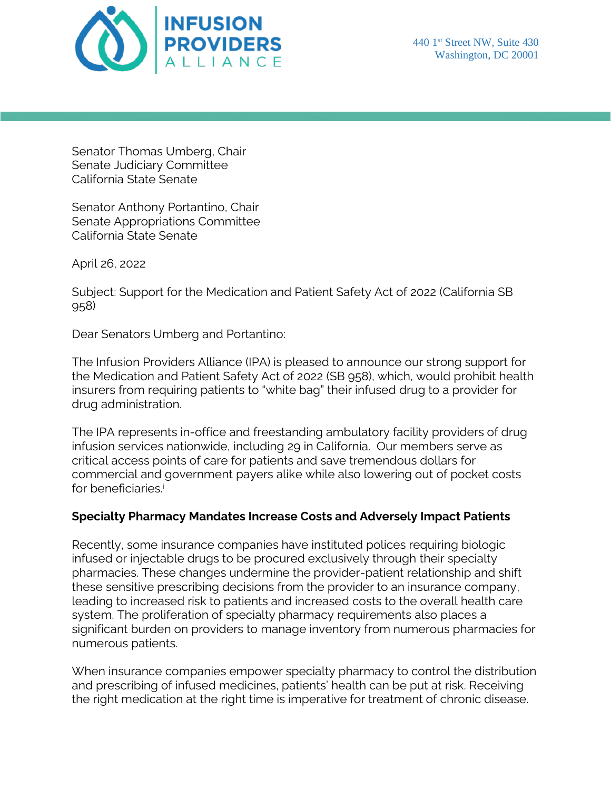

Senator Thomas Umberg, Chair Senate Judiciary Committee California State Senate

Senator Anthony Portantino, Chair Senate Appropriations Committee California State Senate

April 26, 2022

Subject: Support for the Medication and Patient Safety Act of 2022 (California SB 958)

Dear Senators Umberg and Portantino:

The Infusion Providers Alliance (IPA) is pleased to announce our strong support for the Medication and Patient Safety Act of 2022 (SB 958), which, would prohibit health insurers from requiring patients to "white bag" their infused drug to a provider for drug administration.

The IPA represents in-office and freestanding ambulatory facility providers of drug infusion services nationwide, including 29 in California. Our members serve as critical access points of care for patients and save tremendous dollars for commercial and government payers alike while also lowering out of pocket costs for beneficiaries.<sup>i</sup>

## **Specialty Pharmacy Mandates Increase Costs and Adversely Impact Patients**

Recently, some insurance companies have instituted polices requiring biologic infused or injectable drugs to be procured exclusively through their specialty pharmacies. These changes undermine the provider-patient relationship and shift these sensitive prescribing decisions from the provider to an insurance company, leading to increased risk to patients and increased costs to the overall health care system. The proliferation of specialty pharmacy requirements also places a significant burden on providers to manage inventory from numerous pharmacies for numerous patients.

When insurance companies empower specialty pharmacy to control the distribution and prescribing of infused medicines, patients' health can be put at risk. Receiving the right medication at the right time is imperative for treatment of chronic disease.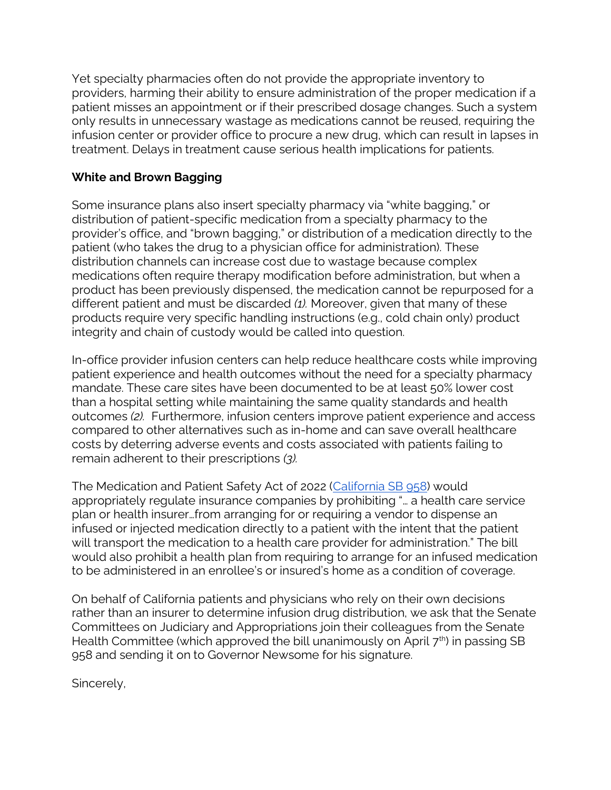Yet specialty pharmacies often do not provide the appropriate inventory to providers, harming their ability to ensure administration of the proper medication if a patient misses an appointment or if their prescribed dosage changes. Such a system only results in unnecessary wastage as medications cannot be reused, requiring the infusion center or provider office to procure a new drug, which can result in lapses in treatment. Delays in treatment cause serious health implications for patients.

## **White and Brown Bagging**

Some insurance plans also insert specialty pharmacy via "white bagging," or distribution of patient-specific medication from a specialty pharmacy to the provider's office, and "brown bagging," or distribution of a medication directly to the patient (who takes the drug to a physician office for administration). These distribution channels can increase cost due to wastage because complex medications often require therapy modification before administration, but when a product has been previously dispensed, the medication cannot be repurposed for a different patient and must be discarded *(1).* Moreover, given that many of these products require very specific handling instructions (e.g., cold chain only) product integrity and chain of custody would be called into question.

In-office provider infusion centers can help reduce healthcare costs while improving patient experience and health outcomes without the need for a specialty pharmacy mandate. These care sites have been documented to be at least 50% lower cost than a hospital setting while maintaining the same quality standards and health outcomes *(2).* Furthermore, infusion centers improve patient experience and access compared to other alternatives such as in-home and can save overall healthcare costs by deterring adverse events and costs associated with patients failing to remain adherent to their prescriptions *(3).*

The Medication and Patient Safety Act of 2022 [\(California SB 958\)](https://r20.rs6.net/tn.jsp?f=001CTqXJNaSm-iZ7J7D6iPtzd75ulcnbRgKDX2QFM1gM_qq-OiPO9smQGg-MATp8DUV0r_08Kw0RK6A9gMPtXOvYokdNf4bGasHiitAZZWNX4M8WbjPag1xBSJ-2kRDBTcsMT_HkwBpNRheJSixE4n-RRw7298MwZua8wb7T-1ukM-t12pwtqWx-GL3HmYDPeAD3ujkZzDJa-Y3oakAwLqe6cc9m3lgVoFwfyaDgpw_QvOouz2s0FnFh7q6LUw1kfF_&c=om--3cdl_L7Fv-sPMt4Q1dg2WJm6YiPmZ7sofzeo3DC1gpV9ARRwYQ==&ch=_PxYASNWIVR0Q8ALrj6cYxDn1g4h8Tj7QS0OSimUSR5PvEz3o3OeIw==) would appropriately regulate insurance companies by prohibiting "… a health care service plan or health insurer…from arranging for or requiring a vendor to dispense an infused or injected medication directly to a patient with the intent that the patient will transport the medication to a health care provider for administration." The bill would also prohibit a health plan from requiring to arrange for an infused medication to be administered in an enrollee's or insured's home as a condition of coverage.

On behalf of California patients and physicians who rely on their own decisions rather than an insurer to determine infusion drug distribution, we ask that the Senate Committees on Judiciary and Appropriations join their colleagues from the Senate Health Committee (which approved the bill unanimously on April  $7<sup>th</sup>$ ) in passing SB 958 and sending it on to Governor Newsome for his signature.

Sincerely,